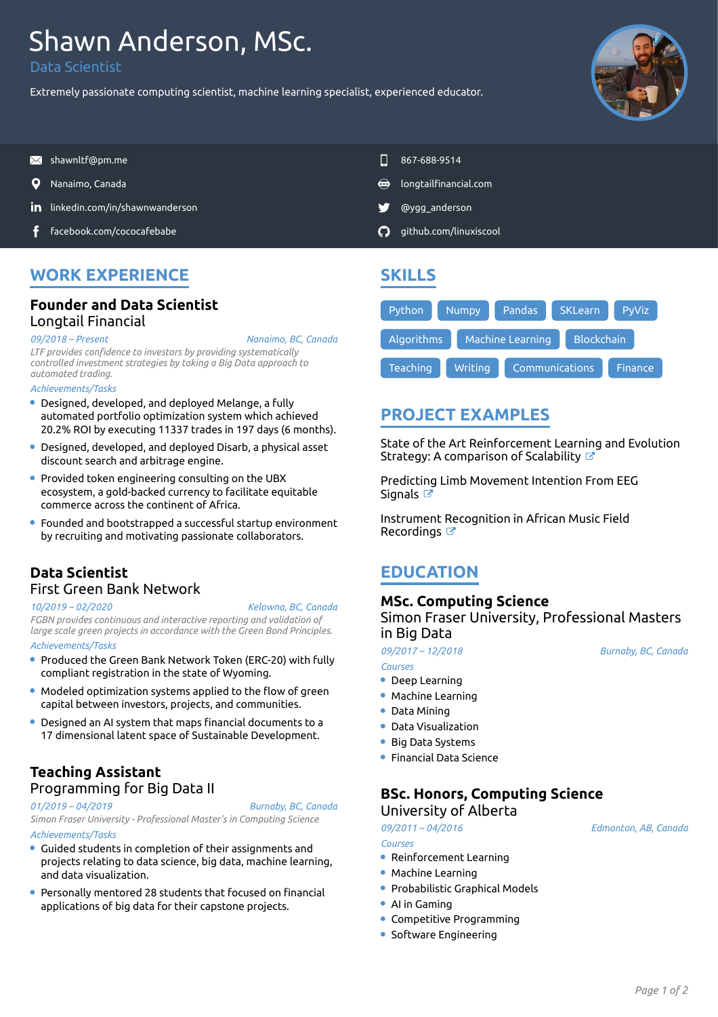# Shawn Anderson, MSc.

Data Scientist

Extremely passionate computing scientist, machine learning specialist, experienced educator.



- $\blacksquare$  [shawnltf@pm.me](mailto:shawnltf@pm.me) 867-688-9514
- O
- **in** [linkedin.com/in/shawnwanderson](https://www.linkedin.com/in/shawnwanderson/) **by a strategies and and strategies of the strategies of the strategies of the strategies of the strategies of the strategies of the strategies of the strategies of the strategies of the**
- [facebook.com/cococafebabe](https://www.facebook.com/cococafebabe) [github.com/linuxiscool](https://github.com/linuxiscool/)
- 
- Nanaimo, Canada [longtailfinancial.com](https://longtailfinancial.com)
	-
	-

# **WORK EXPERIENCE**

# **Founder and Data Scientist** Longtail Financial

*09/2018 – Present*

*LTF provides confidence to investors by providing systematically controlled investment strategies by taking a Big Data approach to automated trading.*

#### *Achievements/Tasks*

- Designed, developed, and deployed Melange, a fully automated portfolio optimization system which achieved 20.2% ROI by executing 11337 trades in 197 days (6 months).
- Designed, developed, and deployed Disarb, a physical asset discount search and arbitrage engine.
- Provided token engineering consulting on the UBX ecosystem, a gold-backed currency to facilitate equitable commerce across the continent of Africa.
- Founded and bootstrapped a successful startup environment by recruiting and motivating passionate collaborators.

### **Data Scientist** First Green Bank Network

#### *10/2019 – 02/2020*

*Kelowna, BC, Canada*

*Nanaimo, BC, Canada*

*FGBN provides continuous and interactive reporting and validation of large scale green projects in accordance with the Green Bond Principles.*

#### *Achievements/Tasks*

- Produced the Green Bank Network Token (ERC-20) with fully compliant registration in the state of Wyoming.
- Modeled optimization systems applied to the flow of green capital between investors, projects, and communities.
- Designed an AI system that maps financial documents to a 17 dimensional latent space of Sustainable Development.

### **Teaching Assistant** Programming for Big Data II

*Burnaby, BC, Canada*

*01/2019 – 04/2019 Simon Fraser University - Professional Master's in Computing Science Achievements/Tasks*

- Guided students in completion of their assignments and projects relating to data science, big data, machine learning, and data visualization.
- Personally mentored 28 students that focused on financial applications of big data for their capstone projects.

# **SKILLS**



# **PROJECT EXAMPLES**

State of the Art Reinforcement Learning and Evolution Strategy: A comparison of Scalability  $\mathbb{C}^n$ 

Predicting Limb Movement Intention From EEG Signals<sup>T</sup>

Instrument Recognition in African Music Field Recordings<sup>T</sup>

# **EDUCATION**

### **MSc. Computing Science**

Simon Fraser University, Professional Masters in Big Data

*09/2017 – 12/2018*

*Courses*

- Deep Learning
- Machine Learning
- Data Mining
- Data Visualization
- **Big Data Systems**
- Financial Data Science

### **BSc. Honors, Computing Science** University of Alberta

*09/2011 – 04/2016 Courses*

*Edmonton, AB, Canada*

*Burnaby, BC, Canada*

- Reinforcement Learning
- Machine Learning
- **Probabilistic Graphical Models**
- AI in Gaming
- Competitive Programming
- **Software Engineering**